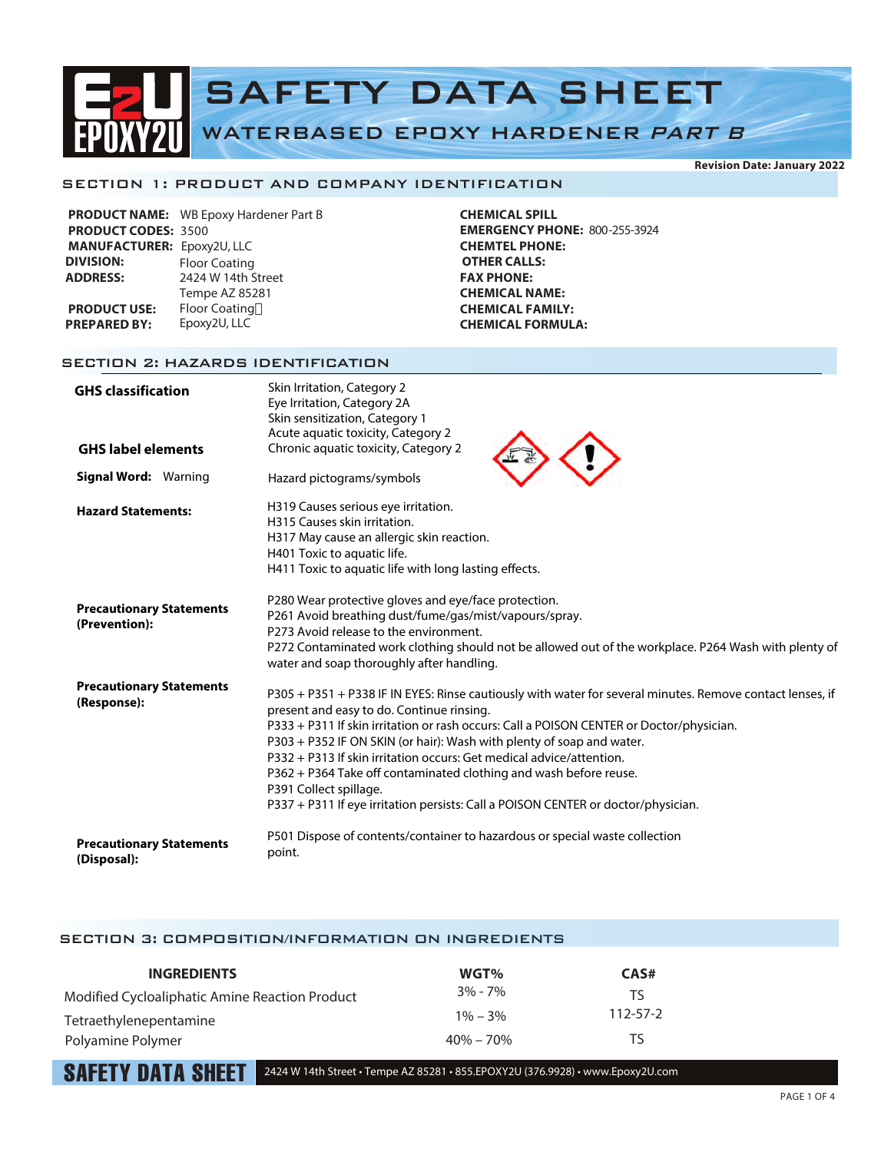# SAFETY DATA SHEET WATERBASED EPOXY HARDENER PART B

# SECTION 1: PRODUCT AND COMPANY IDENTIFICATION

|                                   | PRODUCT NAME: WB Epoxy Hardener Part B |
|-----------------------------------|----------------------------------------|
| <b>PRODUCT CODES: 3500</b>        |                                        |
| <b>MANUFACTURER: Epoxy2U, LLC</b> |                                        |
| <b>DIVISION:</b>                  | <b>Floor Coating</b>                   |
| <b>ADDRESS:</b>                   | 2424 W 14th Street                     |
|                                   | Tempe AZ 85281                         |
| <b>PRODUCT USE:</b>               | <b>Floor Coating</b>                   |
| <b>PREPARED BY:</b>               | Epoxy2U, LLC                           |
|                                   |                                        |

**CHEMICAL SPILL EMERGENCY PHONE:** 800-255-3924 **CHEMTEL PHONE: OTHER CALLS: FAX PHONE: CHEMICAL NAME: CHEMICAL FAMILY: CHEMICAL FORMULA:**

# SECTION 2: HAZARDS IDENTIFICATION

| <b>GHS classification</b>                        | Skin Irritation, Category 2<br>Eye Irritation, Category 2A<br>Skin sensitization, Category 1                                                                                                                                                                                                                                                                                                                                                                                                                                                                                            |
|--------------------------------------------------|-----------------------------------------------------------------------------------------------------------------------------------------------------------------------------------------------------------------------------------------------------------------------------------------------------------------------------------------------------------------------------------------------------------------------------------------------------------------------------------------------------------------------------------------------------------------------------------------|
| <b>GHS label elements</b>                        | Acute aquatic toxicity, Category 2<br>Chronic aquatic toxicity, Category 2                                                                                                                                                                                                                                                                                                                                                                                                                                                                                                              |
| <b>Signal Word: Warning</b>                      | Hazard pictograms/symbols                                                                                                                                                                                                                                                                                                                                                                                                                                                                                                                                                               |
| <b>Hazard Statements:</b>                        | H319 Causes serious eye irritation.<br>H315 Causes skin irritation.<br>H317 May cause an allergic skin reaction.<br>H401 Toxic to aquatic life.<br>H411 Toxic to aquatic life with long lasting effects.                                                                                                                                                                                                                                                                                                                                                                                |
| <b>Precautionary Statements</b><br>(Prevention): | P280 Wear protective gloves and eye/face protection.<br>P261 Avoid breathing dust/fume/gas/mist/vapours/spray.<br>P273 Avoid release to the environment.<br>P272 Contaminated work clothing should not be allowed out of the workplace. P264 Wash with plenty of<br>water and soap thoroughly after handling.                                                                                                                                                                                                                                                                           |
| <b>Precautionary Statements</b><br>(Response):   | P305 + P351 + P338 IF IN EYES: Rinse cautiously with water for several minutes. Remove contact lenses, if<br>present and easy to do. Continue rinsing.<br>P333 + P311 If skin irritation or rash occurs: Call a POISON CENTER or Doctor/physician.<br>P303 + P352 IF ON SKIN (or hair): Wash with plenty of soap and water.<br>P332 + P313 If skin irritation occurs: Get medical advice/attention.<br>P362 + P364 Take off contaminated clothing and wash before reuse.<br>P391 Collect spillage.<br>P337 + P311 If eye irritation persists: Call a POISON CENTER or doctor/physician. |
| <b>Precautionary Statements</b><br>(Disposal):   | P501 Dispose of contents/container to hazardous or special waste collection<br>point.                                                                                                                                                                                                                                                                                                                                                                                                                                                                                                   |

# SECTION 3: COMPOSITION/INFORMATION ON INGREDIENTS

| <b>INGREDIENTS</b>                             | WGT%          | CAS#           |
|------------------------------------------------|---------------|----------------|
| Modified Cycloaliphatic Amine Reaction Product | $3\% - 7\%$   | TS             |
| Tetraethylenepentamine                         | $1\% - 3\%$   | $112 - 57 - 2$ |
| Polyamine Polymer                              | $40\% - 70\%$ | TS             |

 $\textbf{SAFFTY}$  DATA  $\textbf{SHEIT}$  2424 W 14th Street • Tempe AZ 85281 • 855.EPOXY2U (376.9928) • www.Epoxy2U.com

**Revision Date: January 2022**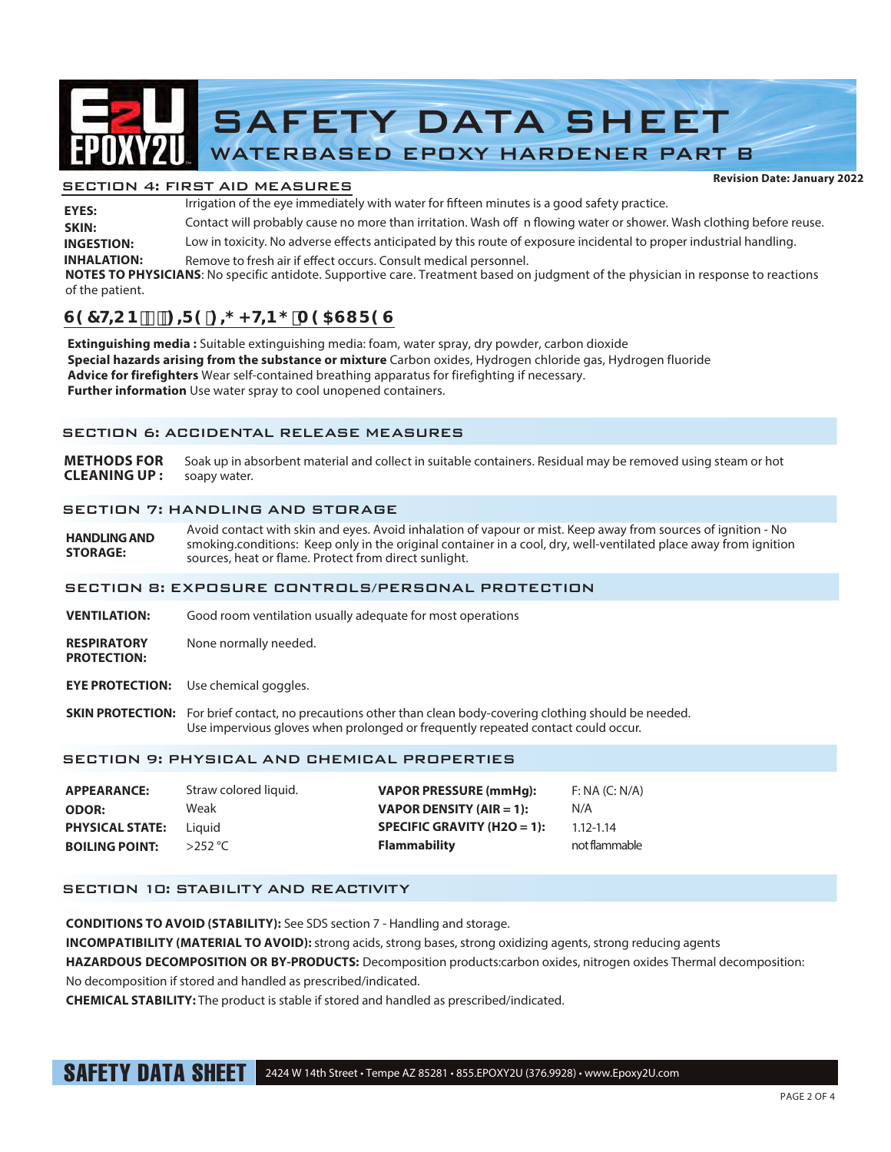

# SECTION 4: FIRST AID MEASURES

Irrigation of the eye immediately with water for fifteen minutes is a good safety practice. Contact will probably cause no more than irritation. Wash off n flowing water or shower. Wash clothing before reuse. Low in toxicity. No adverse effects anticipated by this route of exposure incidental to proper industrial handling. **INHALATION:** Remove to fresh air if effect occurs. Consult medical personnel. **INGESTION: SKIN: EYES: NOTES TO PHYSICIANS**: No specific antidote. Supportive care. Treatment based on judgment of the physician in response to reactions

#### of the patient.

# $G97HCB$ ):  $f = 9!$ ;  $\neq$  < HB; A 95GI F 9G

**Extinguishing media :** Suitable extinguishing media: foam, water spray, dry powder, carbon dioxide **Special hazards arising from the substance or mixture** Carbon oxides, Hydrogen chloride gas, Hydrogen fluoride **Advice for firefighters** Wear self-contained breathing apparatus for firefighting if necessary. **Further information** Use water spray to cool unopened containers.

# SECTION 6: ACCIDENTAL RELEASE MEASURES

**METHODS FOR** Soak up in absorbent material and collect in suitable containers. Residual may be removed using steam or hot **CLEANING UP :** soapy water.

# SECTION 7: HANDLING AND STORAGE

**HANDLING AND STORAGE:**  Avoid contact with skin and eyes. Avoid inhalation of vapour or mist. Keep away from sources of ignition - No smoking.conditions: Keep only in the original container in a cool, dry, well-ventilated place away from ignition sources, heat or flame. Protect from direct sunlight.

# SECTION 8: EXPOSURE CONTROLS/PERSONAL PROTECTION

- **VENTILATION:** Good room ventilation usually adequate for most operations
- **RESPIRATORY** None normally needed. **PROTECTION:**
- **EYE PROTECTION:** Use chemical goggles.
- **SKIN PROTECTION:** For brief contact, no precautions other than clean body-covering clothing should be needed. Use impervious gloves when prolonged or frequently repeated contact could occur.

# SECTION 9: PHYSICAL AND CHEMICAL PROPERTIES

| <b>APPEARANCE:</b>     | Straw colored liquid. | <b>VAPOR PRESSURE (mmHq):</b> | F: NA (C: N/A) |
|------------------------|-----------------------|-------------------------------|----------------|
| <b>ODOR:</b>           | Weak                  | VAPOR DENSITY (AIR = 1):      | N/A            |
| <b>PHYSICAL STATE:</b> | Liauid                | SPECIFIC GRAVITY (H2O = 1):   | $1.12 - 1.14$  |
| <b>BOILING POINT:</b>  | $>$ 252 °C            | <b>Flammability</b>           | not flammable  |

# SECTION 10: STABILITY AND REACTIVITY

**CONDITIONS TO AVOID (STABILITY):** See SDS section 7 - Handling and storage.

**INCOMPATIBILITY (MATERIAL TO AVOID):** strong acids, strong bases, strong oxidizing agents, strong reducing agents

**HAZARDOUS DECOMPOSITION OR BY-PRODUCTS:** Decomposition products:carbon oxides, nitrogen oxides Thermal decomposition: No decomposition if stored and handled as prescribed/indicated.

**CHEMICAL STABILITY:** The product is stable if stored and handled as prescribed/indicated.

SAFETY DATA SHEET 2424 W 14th Street • Tempe AZ 85281 • 855.EPOXY2U (376.9928) • www.Epoxy2U.com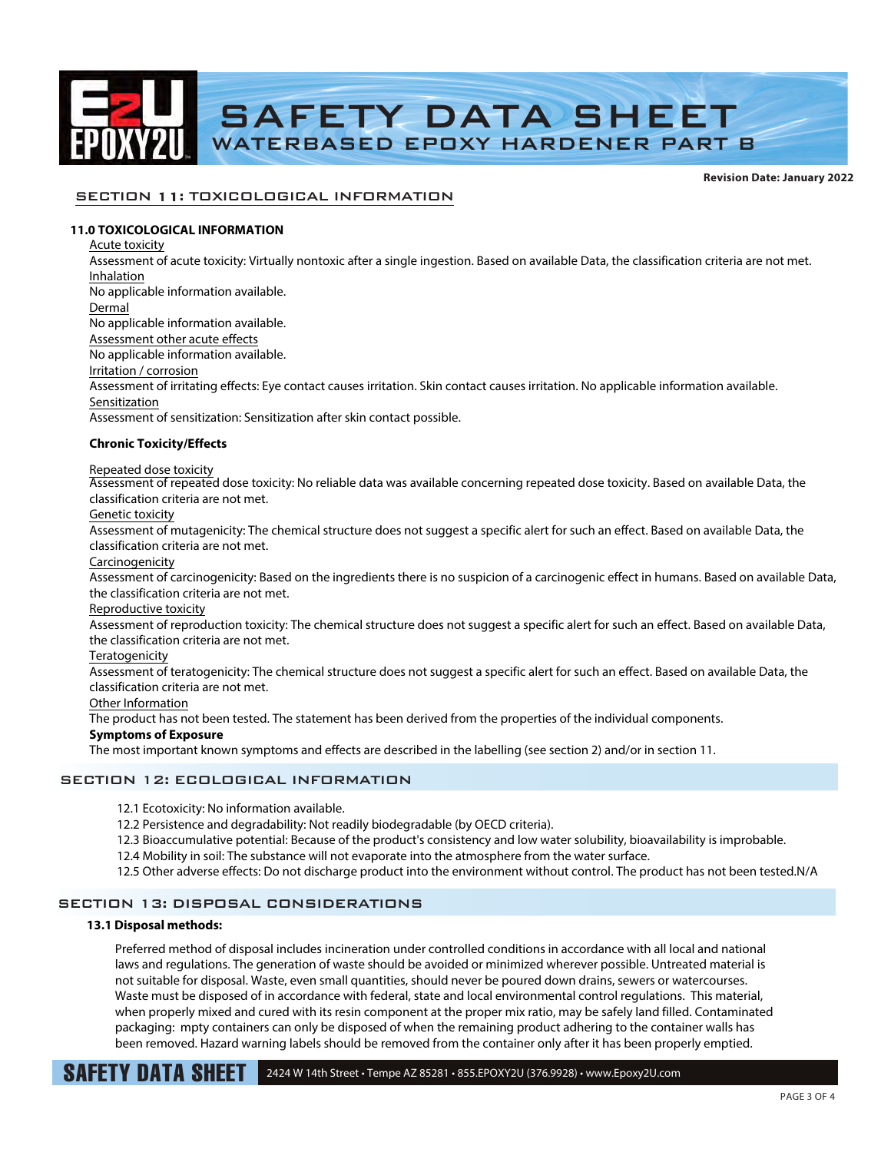

**Revision Date: January 2022**

# SECTION 11: TOXICOLOGICAL INFORMATION

# **11.0 TOXICOLOGICAL INFORMATION**

Acute toxicity Assessment of acute toxicity: Virtually nontoxic after a single ingestion. Based on available Data, the classification criteria are not met. Inhalation No applicable information available. Dermal No applicable information available. Assessment other acute effects No applicable information available. Irritation / corrosion Assessment of irritating effects: Eye contact causes irritation. Skin contact causes irritation. No applicable information available. Sensitization Assessment of sensitization: Sensitization after skin contact possible. **Chronic Toxicity/Effects** Repeated dose toxicity Assessment of repeated dose toxicity: No reliable data was available concerning repeated dose toxicity. Based on available Data, the classification criteria are not met. Genetic toxicity Assessment of mutagenicity: The chemical structure does not suggest a specific alert for such an effect. Based on available Data, the classification criteria are not met. Carcinogenicity Assessment of carcinogenicity: Based on the ingredients there is no suspicion of a carcinogenic effect in humans. Based on available Data, the classification criteria are not met. Reproductive toxicity Assessment of reproduction toxicity: The chemical structure does not suggest a specific alert for such an effect. Based on available Data, the classification criteria are not met. Teratogenicity Assessment of teratogenicity: The chemical structure does not suggest a specific alert for such an effect. Based on available Data, the classification criteria are not met. Other Information The product has not been tested. The statement has been derived from the properties of the individual components. **Symptoms of Exposure**

The most important known symptoms and effects are described in the labelling (see section 2) and/or in section 11.

# SECTION 12: ECOLOGICAL INFORMATION

12.1 Ecotoxicity: No information available.

12.2 Persistence and degradability: Not readily biodegradable (by OECD criteria).

- 12.3 Bioaccumulative potential: Because of the product's consistency and low water solubility, bioavailability is improbable.
- 12.4 Mobility in soil: The substance will not evaporate into the atmosphere from the water surface.
- 12.5 Other adverse effects: Do not discharge product into the environment without control. The product has not been tested.N/A

# SECTION 13: DISPOSAL CONSIDERATIONS

## **13.1 Disposal methods:**

Preferred method of disposal includes incineration under controlled conditions in accordance with all local and national laws and regulations. The generation of waste should be avoided or minimized wherever possible. Untreated material is not suitable for disposal. Waste, even small quantities, should never be poured down drains, sewers or watercourses. Waste must be disposed of in accordance with federal, state and local environmental control regulations. This material, when properly mixed and cured with its resin component at the proper mix ratio, may be safely land filled. Contaminated packaging: mpty containers can only be disposed of when the remaining product adhering to the container walls has been removed. Hazard warning labels should be removed from the container only after it has been properly emptied.

SAFETY DATA SHEET 2424 W 14th Street • Tempe AZ 85281 • 855.EPOXY2U (376.9928) • www.Epoxy2U.com